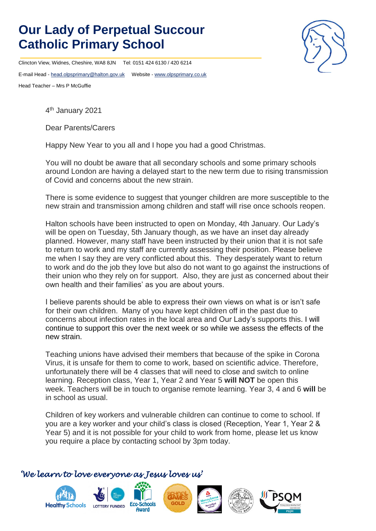## **Our Lady of Perpetual Succour Catholic Primary School**

Clincton View, Widnes, Cheshire, WA8 8JN Tel: 0151 424 6130 / 420 6214

E-mail Head - [head.olpsprimary@halton.gov.uk](mailto:head.olpsprimary@halton.gov.uk) Website - [www.olpsprimary.co.uk](http://www.olpsprimary.co.uk/)

Head Teacher – Mrs P McGuffie

4 th January 2021

Dear Parents/Carers

Happy New Year to you all and I hope you had a good Christmas.

You will no doubt be aware that all secondary schools and some primary schools around London are having a delayed start to the new term due to rising transmission of Covid and concerns about the new strain.

There is some evidence to suggest that younger children are more susceptible to the new strain and transmission among children and staff will rise once schools reopen.

Halton schools have been instructed to open on Monday, 4th January. Our Lady's will be open on Tuesday, 5th January though, as we have an inset day already planned. However, many staff have been instructed by their union that it is not safe to return to work and my staff are currently assessing their position. Please believe me when I say they are very conflicted about this. They desperately want to return to work and do the job they love but also do not want to go against the instructions of their union who they rely on for support. Also, they are just as concerned about their own health and their families' as you are about yours.

I believe parents should be able to express their own views on what is or isn't safe for their own children. Many of you have kept children off in the past due to concerns about infection rates in the local area and Our Lady's supports this. I will continue to support this over the next week or so while we assess the effects of the new strain.

Teaching unions have advised their members that because of the spike in Corona Virus, it is unsafe for them to come to work, based on scientific advice. Therefore, unfortunately there will be 4 classes that will need to close and switch to online learning. Reception class, Year 1, Year 2 and Year 5 **will NOT** be open this week. Teachers will be in touch to organise remote learning. Year 3, 4 and 6 **will** be in school as usual.

Children of key workers and vulnerable children can continue to come to school. If you are a key worker and your child's class is closed (Reception, Year 1, Year 2 & Year 5) and it is not possible for your child to work from home, please let us know you require a place by contacting school by 3pm today.

## *'We learn to love everyone as Jesus loves us'*